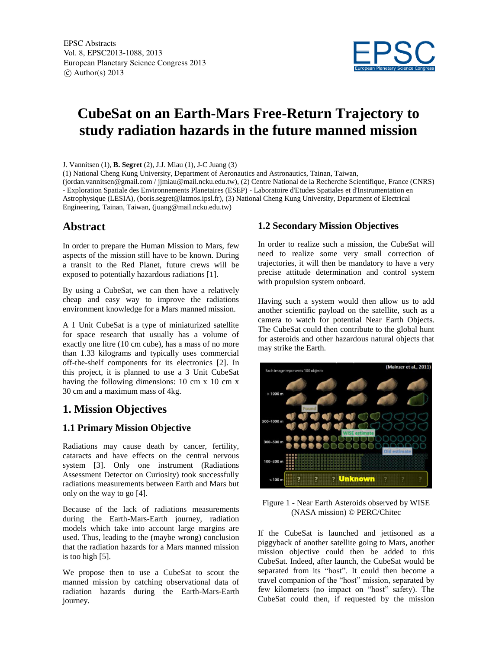

# **CubeSat on an Earth-Mars Free-Return Trajectory to study radiation hazards in the future manned mission**

J. Vannitsen (1), **B. Segret** (2), J.J. Miau (1), J-C Juang (3)

(1) National Cheng Kung University, Department of Aeronautics and Astronautics, Tainan, Taiwan,

(jordan.vannitsen@gmail.com / jjmiau@mail.ncku.edu.tw), (2) Centre National de la Recherche Scientifique, France (CNRS) - Exploration Spatiale des Environnements Planetaires (ESEP) - Laboratoire d'Etudes Spatiales et d'Instrumentation en Astrophysique (LESIA), (boris.segret@latmos.ipsl.fr), (3) National Cheng Kung University, Department of Electrical Engineering, Tainan, Taiwan, (juang@mail.ncku.edu.tw)

## **Abstract**

In order to prepare the Human Mission to Mars, few aspects of the mission still have to be known. During a transit to the Red Planet, future crews will be exposed to potentially hazardous radiations [1].

By using a CubeSat, we can then have a relatively cheap and easy way to improve the radiations environment knowledge for a Mars manned mission.

A 1 Unit CubeSat is a type of miniaturized satellite for space research that usually has a volume of exactly one litre (10 cm cube), has a mass of no more than 1.33 kilograms and typically uses commercial off-the-shelf components for its electronics [2]. In this project, it is planned to use a 3 Unit CubeSat having the following dimensions: 10 cm x 10 cm x 30 cm and a maximum mass of 4kg.

# **1. Mission Objectives**

#### **1.1 Primary Mission Objective**

Radiations may cause death by cancer, fertility, cataracts and have effects on the central nervous system [3]. Only one instrument (Radiations Assessment Detector on Curiosity) took successfully radiations measurements between Earth and Mars but only on the way to go [4].

Because of the lack of radiations measurements during the Earth-Mars-Earth journey, radiation models which take into account large margins are used. Thus, leading to the (maybe wrong) conclusion that the radiation hazards for a Mars manned mission is too high [5].

We propose then to use a CubeSat to scout the manned mission by catching observational data of radiation hazards during the Earth-Mars-Earth journey.

#### **1.2 Secondary Mission Objectives**

In order to realize such a mission, the CubeSat will need to realize some very small correction of trajectories, it will then be mandatory to have a very precise attitude determination and control system with propulsion system onboard.

Having such a system would then allow us to add another scientific payload on the satellite, such as a camera to watch for potential Near Earth Objects. The CubeSat could then contribute to the global hunt for asteroids and other hazardous natural objects that may strike the Earth.



Figure 1 - Near Earth Asteroids observed by WISE (NASA mission) © PERC/Chitec

If the CubeSat is launched and jettisoned as a piggyback of another satellite going to Mars, another mission objective could then be added to this CubeSat. Indeed, after launch, the CubeSat would be separated from its "host". It could then become a travel companion of the "host" mission, separated by few kilometers (no impact on "host" safety). The CubeSat could then, if requested by the mission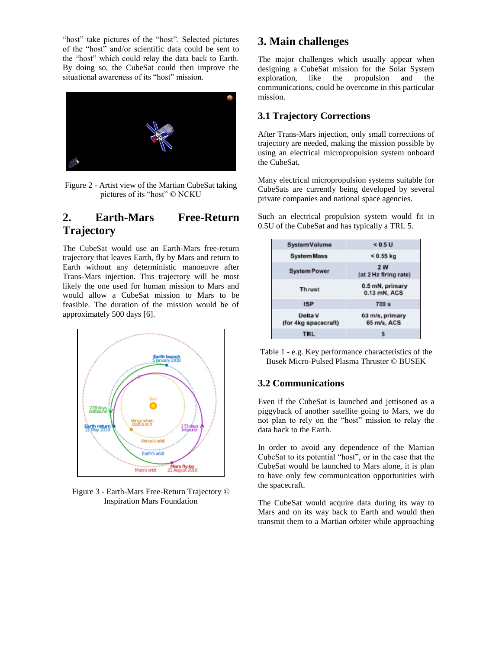"host" take pictures of the "host". Selected pictures of the "host" and/or scientific data could be sent to the "host" which could relay the data back to Earth. By doing so, the CubeSat could then improve the situational awareness of its "host" mission.



Figure 2 - Artist view of the Martian CubeSat taking pictures of its "host" © NCKU

# **2. Earth-Mars Free-Return Trajectory**

The CubeSat would use an Earth-Mars free-return trajectory that leaves Earth, fly by Mars and return to Earth without any deterministic manoeuvre after Trans-Mars injection. This trajectory will be most likely the one used for human mission to Mars and would allow a CubeSat mission to Mars to be feasible. The duration of the mission would be of approximately 500 days [6].



Figure 3 - Earth-Mars Free-Return Trajectory © Inspiration Mars Foundation

# **3. Main challenges**

The major challenges which usually appear when designing a CubeSat mission for the Solar System exploration, like the propulsion and the communications, could be overcome in this particular mission.

## **3.1 Trajectory Corrections**

After Trans-Mars injection, only small corrections of trajectory are needed, making the mission possible by using an electrical micropropulsion system onboard the CubeSat.

Many electrical micropropulsion systems suitable for CubeSats are currently being developed by several private companies and national space agencies.

Such an electrical propulsion system would fit in 0.5U of the CubeSat and has typically a TRL 5.

| <b>System Volume</b>            | < 0.5 U                            |
|---------------------------------|------------------------------------|
| <b>SystemMass</b>               | $< 0.55$ kg                        |
| <b>System Power</b>             | <b>2W</b><br>(at 2 Hz firing rate) |
| <b>Thrust</b>                   | 0.5 mN, primary<br>0.13 mN, ACS    |
| <b>ISP</b>                      | 700 <sub>s</sub>                   |
| Delta V<br>(for 4kg spacecraft) | 63 m/s, primary<br>65 m/s, ACS     |
| TRL                             |                                    |

Table 1 - e.g. Key performance characteristics of the Busek Micro-Pulsed Plasma Thruster © BUSEK

#### **3.2 Communications**

Even if the CubeSat is launched and jettisoned as a piggyback of another satellite going to Mars, we do not plan to rely on the "host" mission to relay the data back to the Earth.

In order to avoid any dependence of the Martian CubeSat to its potential "host", or in the case that the CubeSat would be launched to Mars alone, it is plan to have only few communication opportunities with the spacecraft.

The CubeSat would acquire data during its way to Mars and on its way back to Earth and would then transmit them to a Martian orbiter while approaching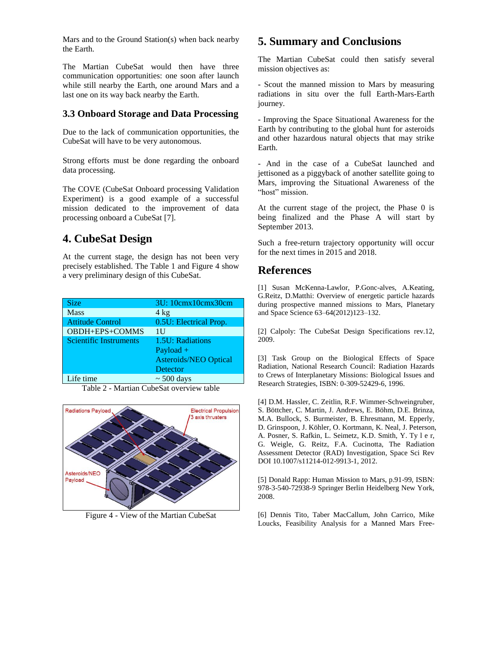Mars and to the Ground Station(s) when back nearby the Earth.

The Martian CubeSat would then have three communication opportunities: one soon after launch while still nearby the Earth, one around Mars and a last one on its way back nearby the Earth.

#### **3.3 Onboard Storage and Data Processing**

Due to the lack of communication opportunities, the CubeSat will have to be very autonomous.

Strong efforts must be done regarding the onboard data processing.

The COVE (CubeSat Onboard processing Validation Experiment) is a good example of a successful mission dedicated to the improvement of data processing onboard a CubeSat [7].

## **4. CubeSat Design**

At the current stage, the design has not been very precisely established. The Table 1 and Figure 4 show a very preliminary design of this CubeSat.

| <b>Size</b>                   | 3U: 10cmx10cmx30cm           |
|-------------------------------|------------------------------|
| <b>Mass</b>                   | $4$ kg                       |
| <b>Attitude Control</b>       | 0.5U: Electrical Prop.       |
| OBDH+EPS+COMMS                | 1U                           |
| <b>Scientific Instruments</b> | 1.5U: Radiations             |
|                               | Payload $+$                  |
|                               | <b>Asteroids/NEO Optical</b> |
|                               | Detector                     |
| Life time                     | $\sim$ 500 days              |

Table 2 - Martian CubeSat overview table



Figure 4 - View of the Martian CubeSat

## **5. Summary and Conclusions**

The Martian CubeSat could then satisfy several mission objectives as:

- Scout the manned mission to Mars by measuring radiations in situ over the full Earth-Mars-Earth journey.

- Improving the Space Situational Awareness for the Earth by contributing to the global hunt for asteroids and other hazardous natural objects that may strike Earth.

- And in the case of a CubeSat launched and jettisoned as a piggyback of another satellite going to Mars, improving the Situational Awareness of the "host" mission.

At the current stage of the project, the Phase 0 is being finalized and the Phase A will start by September 2013.

Such a free-return trajectory opportunity will occur for the next times in 2015 and 2018.

## **References**

[1] Susan McKenna-Lawlor, P.Gonc-alves, A.Keating, G.Reitz, D.Matthi: Overview of energetic particle hazards during prospective manned missions to Mars, Planetary and Space Science 63–64(2012)123–132.

[2] Calpoly: The CubeSat Design Specifications rev.12, 2009.

[3] Task Group on the Biological Effects of Space Radiation, National Research Council: Radiation Hazards to Crews of Interplanetary Missions: Biological Issues and Research Strategies, ISBN: 0-309-52429-6, 1996.

[4] D.M. Hassler, C. Zeitlin, R.F. Wimmer-Schweingruber, S. Böttcher, C. Martin, J. Andrews, E. Böhm, D.E. Brinza, M.A. Bullock, S. Burmeister, B. Ehresmann, M. Epperly, D. Grinspoon, J. Köhler, O. Kortmann, K. Neal, J. Peterson, A. Posner, S. Rafkin, L. Seimetz, K.D. Smith, Y. Ty l e r, G. Weigle, G. Reitz, F.A. Cucinotta, The Radiation Assessment Detector (RAD) Investigation, Space Sci Rev DOI 10.1007/s11214-012-9913-1, 2012.

[5] Donald Rapp: Human Mission to Mars, p.91-99, ISBN: 978-3-540-72938-9 Springer Berlin Heidelberg New York, 2008.

[6] Dennis Tito, Taber MacCallum, John Carrico, Mike Loucks, Feasibility Analysis for a Manned Mars Free